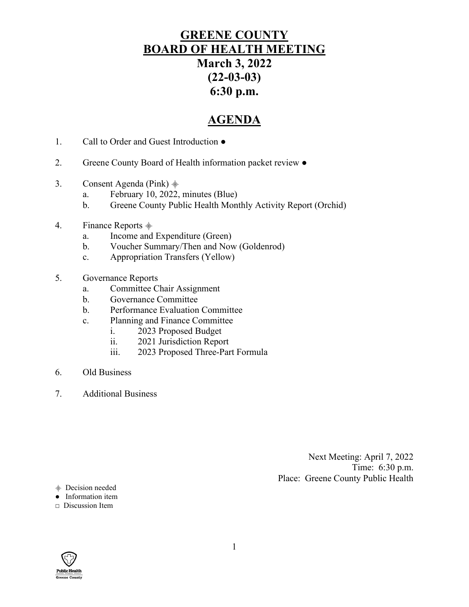# **GREENE COUNTY BOARD OF HEALTH MEETING March 3, 2022 (22-03-03) 6:30 p.m.**

# **AGENDA**

- 1. Call to Order and Guest Introduction ●
- 2. Greene County Board of Health information packet review  $\bullet$
- 3. Consent Agenda (Pink)  $\frac{1}{2}$ 
	- a. February 10, 2022, minutes (Blue)
	- b. Greene County Public Health Monthly Activity Report (Orchid)
- 4. Finance Reports  $\stackrel{\triangle}{\equiv}$ 
	- a. Income and Expenditure (Green)
	- b. Voucher Summary/Then and Now (Goldenrod)
	- c. Appropriation Transfers (Yellow)
- 5. Governance Reports
	- a. Committee Chair Assignment
	- b. Governance Committee
	- b. Performance Evaluation Committee
	- c. Planning and Finance Committee
		- i. 2023 Proposed Budget
		- ii. 2021 Jurisdiction Report
		- iii. 2023 Proposed Three-Part Formula
- 6. Old Business
- 7. Additional Business

Next Meeting: April 7, 2022 Time: 6:30 p.m. Place: Greene County Public Health

- ⸎ Decision needed
- Information item
- **□** Discussion Item

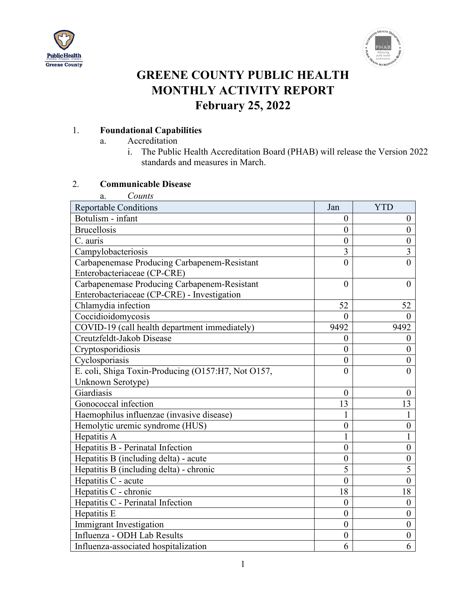



# **GREENE COUNTY PUBLIC HEALTH MONTHLY ACTIVITY REPORT February 25, 2022**

# 1. **Foundational Capabilities**

- a. Accreditation
	- i. The Public Health Accreditation Board (PHAB) will release the Version 2022 standards and measures in March.

# 2. **Communicable Disease**

| Counts<br>a.                                       |                  |                  |
|----------------------------------------------------|------------------|------------------|
| <b>Reportable Conditions</b>                       | Jan              | <b>YTD</b>       |
| Botulism - infant                                  | $\theta$         | $\theta$         |
| <b>Brucellosis</b>                                 | $\overline{0}$   | $\overline{0}$   |
| C. auris                                           | $\overline{0}$   | $\boldsymbol{0}$ |
| Campylobacteriosis                                 | $\overline{3}$   | $\overline{3}$   |
| Carbapenemase Producing Carbapenem-Resistant       | $\theta$         | $\theta$         |
| Enterobacteriaceae (CP-CRE)                        |                  |                  |
| Carbapenemase Producing Carbapenem-Resistant       | $\theta$         | $\theta$         |
| Enterobacteriaceae (CP-CRE) - Investigation        |                  |                  |
| Chlamydia infection                                | 52               | 52               |
| Coccidioidomycosis                                 | $\theta$         | $\theta$         |
| COVID-19 (call health department immediately)      | 9492             | 9492             |
| Creutzfeldt-Jakob Disease                          | $\boldsymbol{0}$ | $\boldsymbol{0}$ |
| Cryptosporidiosis                                  | $\overline{0}$   | $\theta$         |
| Cyclosporiasis                                     | $\overline{0}$   | $\overline{0}$   |
| E. coli, Shiga Toxin-Producing (O157:H7, Not O157, | $\theta$         | 0                |
| Unknown Serotype)                                  |                  |                  |
| Giardiasis                                         | $\theta$         | $\Omega$         |
| Gonococcal infection                               | 13               | 13               |
| Haemophilus influenzae (invasive disease)          |                  | $\mathbf{1}$     |
| Hemolytic uremic syndrome (HUS)                    | $\boldsymbol{0}$ | $\boldsymbol{0}$ |
| Hepatitis A                                        | 1                | $\mathbf{1}$     |
| Hepatitis B - Perinatal Infection                  | $\overline{0}$   | $\boldsymbol{0}$ |
| Hepatitis B (including delta) - acute              | $\boldsymbol{0}$ | $\boldsymbol{0}$ |
| Hepatitis B (including delta) - chronic            | 5                | $\overline{5}$   |
| Hepatitis C - acute                                | $\theta$         | $\theta$         |
| Hepatitis C - chronic                              | 18               | 18               |
| Hepatitis C - Perinatal Infection                  | $\overline{0}$   | $\boldsymbol{0}$ |
| Hepatitis E                                        | $\theta$         | $\boldsymbol{0}$ |
| Immigrant Investigation                            | $\overline{0}$   | $\overline{0}$   |
| Influenza - ODH Lab Results                        | $\overline{0}$   | $\boldsymbol{0}$ |
| Influenza-associated hospitalization               | 6                | 6                |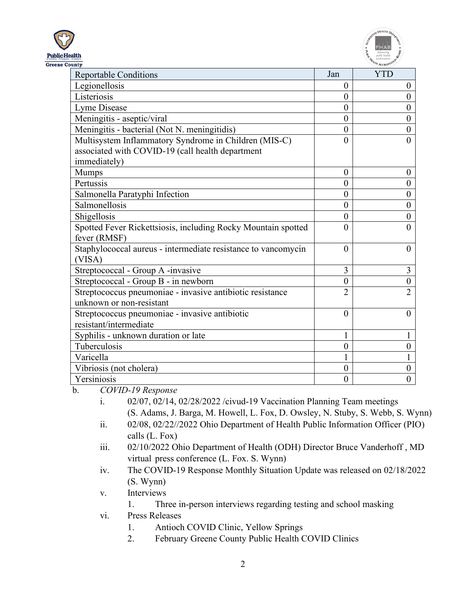



| <b>Reportable Conditions</b>                                  | Jan            | <b>YTD</b>       |
|---------------------------------------------------------------|----------------|------------------|
| Legionellosis                                                 | $\theta$       | $\theta$         |
| Listeriosis                                                   | $\theta$       | $\overline{0}$   |
| Lyme Disease                                                  | $\overline{0}$ | $\overline{0}$   |
| Meningitis - aseptic/viral                                    | $\theta$       | $\overline{0}$   |
| Meningitis - bacterial (Not N. meningitidis)                  | $\overline{0}$ | $\theta$         |
| Multisystem Inflammatory Syndrome in Children (MIS-C)         | $\Omega$       | $\theta$         |
| associated with COVID-19 (call health department              |                |                  |
| immediately)                                                  |                |                  |
| <b>Mumps</b>                                                  | $\theta$       | $\theta$         |
| Pertussis                                                     | $\theta$       | $\overline{0}$   |
| Salmonella Paratyphi Infection                                | $\overline{0}$ | $\theta$         |
| Salmonellosis                                                 | $\overline{0}$ | $\overline{0}$   |
| Shigellosis                                                   | $\theta$       | $\theta$         |
| Spotted Fever Rickettsiosis, including Rocky Mountain spotted | $\theta$       | $\theta$         |
| fever (RMSF)                                                  |                |                  |
| Staphylococcal aureus - intermediate resistance to vancomycin | $\Omega$       | $\Omega$         |
| (VISA)                                                        |                |                  |
| Streptococcal - Group A -invasive                             | 3              | 3                |
| Streptococcal - Group B - in newborn                          | $\theta$       | $\boldsymbol{0}$ |
| Streptococcus pneumoniae - invasive antibiotic resistance     | $\overline{2}$ | $\overline{2}$   |
| unknown or non-resistant                                      |                |                  |
| Streptococcus pneumoniae - invasive antibiotic                | $\theta$       | $\Omega$         |
| resistant/intermediate                                        |                |                  |
| Syphilis - unknown duration or late                           |                |                  |
| Tuberculosis                                                  | $\theta$       | 0                |
| Varicella                                                     |                |                  |
| Vibriosis (not cholera)                                       | $\overline{0}$ | $\overline{0}$   |
| Yersiniosis                                                   | $\overline{0}$ | $\theta$         |

b. *COVID-19 Response*

- i. 02/07, 02/14, 02/28/2022 /civud-19 Vaccination Planning Team meetings (S. Adams, J. Barga, M. Howell, L. Fox, D. Owsley, N. Stuby, S. Webb, S. Wynn) ii. 02/08, 02/22//2022 Ohio Department of Health Public Information Officer (PIO)
	- calls (L. Fox)
- iii. 02/10/2022 Ohio Department of Health (ODH) Director Bruce Vanderhoff , MD virtual press conference (L. Fox. S. Wynn)
- iv. The COVID-19 Response Monthly Situation Update was released on 02/18/2022 (S. Wynn)

v. Interviews

1. Three in-person interviews regarding testing and school masking

- vi. Press Releases
	- 1. Antioch COVID Clinic, Yellow Springs
	- 2. February Greene County Public Health COVID Clinics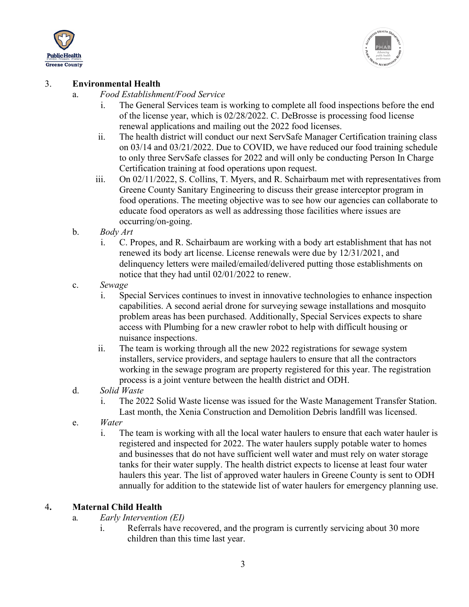



#### 3. **Environmental Health**

- a. *Food Establishment/Food Service*
	- i. The General Services team is working to complete all food inspections before the end of the license year, which is 02/28/2022. C. DeBrosse is processing food license renewal applications and mailing out the 2022 food licenses.
	- ii. The health district will conduct our next ServSafe Manager Certification training class on 03/14 and 03/21/2022. Due to COVID, we have reduced our food training schedule to only three ServSafe classes for 2022 and will only be conducting Person In Charge Certification training at food operations upon request.
	- iii. On 02/11/2022, S. Collins, T. Myers, and R. Schairbaum met with representatives from Greene County Sanitary Engineering to discuss their grease interceptor program in food operations. The meeting objective was to see how our agencies can collaborate to educate food operators as well as addressing those facilities where issues are occurring/on-going.
- b. *Body Art*
	- i. C. Propes, and R. Schairbaum are working with a body art establishment that has not renewed its body art license. License renewals were due by 12/31/2021, and delinquency letters were mailed/emailed/delivered putting those establishments on notice that they had until 02/01/2022 to renew.
- c. *Sewage* 
	- i. Special Services continues to invest in innovative technologies to enhance inspection capabilities. A second aerial drone for surveying sewage installations and mosquito problem areas has been purchased. Additionally, Special Services expects to share access with Plumbing for a new crawler robot to help with difficult housing or nuisance inspections.
	- ii. The team is working through all the new 2022 registrations for sewage system installers, service providers, and septage haulers to ensure that all the contractors working in the sewage program are property registered for this year. The registration process is a joint venture between the health district and ODH.
- d. *Solid Waste*
	- i. The 2022 Solid Waste license was issued for the Waste Management Transfer Station. Last month, the Xenia Construction and Demolition Debris landfill was licensed.
- e. *Water*
	- i. The team is working with all the local water haulers to ensure that each water hauler is registered and inspected for 2022. The water haulers supply potable water to homes and businesses that do not have sufficient well water and must rely on water storage tanks for their water supply. The health district expects to license at least four water haulers this year. The list of approved water haulers in Greene County is sent to ODH annually for addition to the statewide list of water haulers for emergency planning use.

## 4**. Maternal Child Health**

- a*. Early Intervention (EI)*
	- i. Referrals have recovered, and the program is currently servicing about 30 more children than this time last year.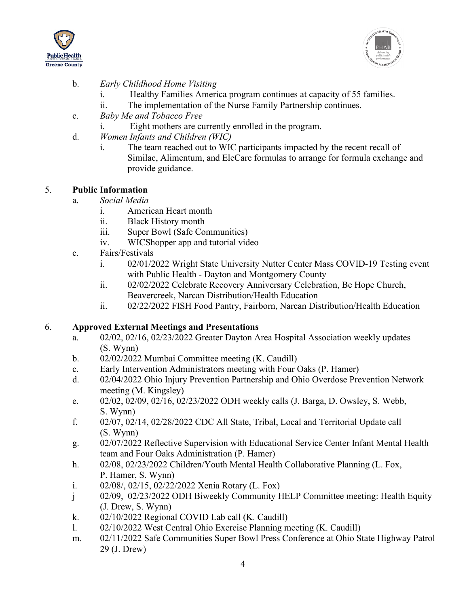



# b. *Early Childhood Home Visiting*

- i. Healthy Families America program continues at capacity of 55 families.
- ii. The implementation of the Nurse Family Partnership continues.
- c. *Baby Me and Tobacco Free*
	- i. Eight mothers are currently enrolled in the program.
- d. *Women Infants and Children (WIC)*
	- i. The team reached out to WIC participants impacted by the recent recall of Similac, Alimentum, and EleCare formulas to arrange for formula exchange and provide guidance.

## 5. **Public Information**

- a. *Social Media*
	- i. American Heart month
	- ii. Black History month
	- iii. Super Bowl (Safe Communities)
	- iv. WICShopper app and tutorial video
- c. Fairs/Festivals
	- i. 02/01/2022 Wright State University Nutter Center Mass COVID-19 Testing event with Public Health - Dayton and Montgomery County
	- ii. 02/02/2022 Celebrate Recovery Anniversary Celebration, Be Hope Church, Beavercreek, Narcan Distribution/Health Education
	- ii. 02/22/2022 FISH Food Pantry, Fairborn, Narcan Distribution/Health Education

## 6. **Approved External Meetings and Presentations**

- a. 02/02, 02/16, 02/23/2022 Greater Dayton Area Hospital Association weekly updates (S. Wynn)
- b. 02/02/2022 Mumbai Committee meeting (K. Caudill)
- c. Early Intervention Administrators meeting with Four Oaks (P. Hamer)
- d. 02/04/2022 Ohio Injury Prevention Partnership and Ohio Overdose Prevention Network meeting (M. Kingsley)
- e. 02/02, 02/09, 02/16, 02/23/2022 ODH weekly calls (J. Barga, D. Owsley, S. Webb, S. Wynn)
- f. 02/07, 02/14, 02/28/2022 CDC All State, Tribal, Local and Territorial Update call (S. Wynn)
- g. 02/07/2022 Reflective Supervision with Educational Service Center Infant Mental Health team and Four Oaks Administration (P. Hamer)
- h. 02/08, 02/23/2022 Children/Youth Mental Health Collaborative Planning (L. Fox, P. Hamer, S. Wynn)
- i. 02/08/, 02/15, 02/22/2022 Xenia Rotary (L. Fox)
- j 02/09, 02/23/2022 ODH Biweekly Community HELP Committee meeting: Health Equity (J. Drew, S. Wynn)
- k. 02/10/2022 Regional COVID Lab call (K. Caudill)
- l. 02/10/2022 West Central Ohio Exercise Planning meeting (K. Caudill)
- m. 02/11/2022 Safe Communities Super Bowl Press Conference at Ohio State Highway Patrol 29 (J. Drew)